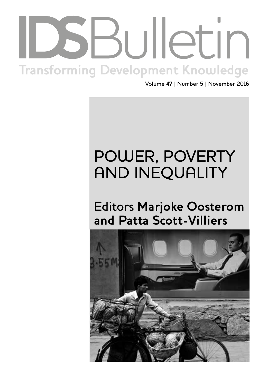# Institute of Development Studies | **bulletin.ids.ac.uk Transforming Development Knowledge**

Volume **47** | Number **5** | November 2016

## POWER, POVERTY AND INEQUALITY

## Editors **Marjoke Oosterom and Patta Scott-Villiers**

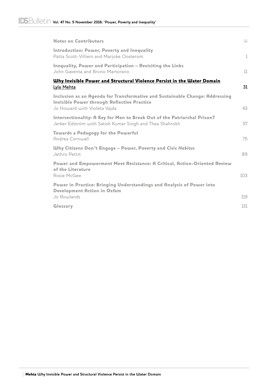| <b>Notes on Contributors</b>                                                                                                                                                     | iii          |
|----------------------------------------------------------------------------------------------------------------------------------------------------------------------------------|--------------|
| <b>Introduction: Power, Poverty and Inequality</b><br>Patta Scott-Villiers and Marjoke Oosterom                                                                                  | $\mathbf{1}$ |
| Inequality, Power and Participation - Revisiting the Links<br>John Gaventa and Bruno Martorano                                                                                   | 11           |
| <u>Why Invisible Power and Structural Violence Persist in the Water Domain</u>                                                                                                   | 31           |
| Lyla Mehta<br>Inclusion as an Agenda for Transformative and Sustainable Change: Addressing<br><b>Invisible Power through Reflective Practice</b><br>Jo Howard with Violeta Vajda | 43           |
| Intersectionality: A Key for Men to Break Out of the Patriarchal Prison?<br>Jerker Edström with Satish Kumar Singh and Thea Shahrokh                                             | 57           |
| <b>Towards a Pedagogy for the Powerful</b><br>Andrea Cornwall                                                                                                                    | 75           |
| <b>Why Citizens Don't Engage - Power, Poverty and Civic Habitus</b><br>Jethro Pettit                                                                                             | 89           |
| Power and Empowerment Meet Resistance: A Critical, Action-Oriented Review<br>of the Literature<br>Rosie McGee                                                                    | 103          |
| Power in Practice: Bringing Understandings and Analysis of Power into<br><b>Development Action in Oxfam</b>                                                                      |              |
| Jo Rowlands                                                                                                                                                                      | 119<br>131   |
| Glossary                                                                                                                                                                         |              |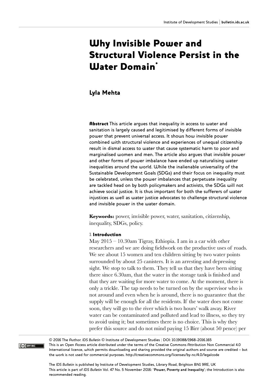### Why Invisible Power and Structural Violence Persist in the **Water Domain<sup>\*</sup>**

#### Lyla Mehta

**Abstract** This article argues that inequality in access to water and sanitation is largely caused and legitimised by different forms of invisible power that prevent universal access. It shows how invisible power combined with structural violence and experiences of unequal citizenship result in dismal access to water that cause systematic harm to poor and marginalised women and men. The article also argues that invisible power and other forms of power imbalance have ended up naturalising water inequalities around the world. While the inalienable universality of the Sustainable Development Goals (SDGs) and their focus on inequality must be celebrated, unless the power imbalances that perpetuate inequality are tackled head on by both policymakers and activists, the SDGs will not achieve social justice. It is thus important for both the sufferers of water injustices as well as water justice advocates to challenge structural violence and invisible power in the water domain.

**Keywords:** power, invisible power, water, sanitation, citizenship, inequality, SDGs, policy.

#### 1 Introduction

CC BY-NC

May 2015 – 10.30am Tigray, Ethiopia. I am in a car with other researchers and we are doing fieldwork on the productive uses of roads. We see about 15 women and ten children sitting by two water points surrounded by about 25 canisters. It is an arresting and depressing sight. We stop to talk to them. They tell us that they have been sitting there since 6.30am, that the water in the storage tank is finished and that they are waiting for more water to come. At the moment, there is only a trickle. The tap needs to be turned on by the supervisor who is not around and even when he is around, there is no guarantee that the supply will be enough for all the residents. If the water does not come soon, they will go to the river which is two hours' walk away. River water can be contaminated and polluted and lead to illness, so they try to avoid using it; but sometimes there is no choice. This is why they prefer this source and do not mind paying 15 Birr (about 50 pence) per

© 2016 The Author. *IDS Bulletin* © Institute of Development Studies | DOI: 10.19088/1968-2016.165 This is an Open Access article distributed under the terms of the Creative Commons Attribution Non Commercial 4.0 International licence, which permits downloading and sharing provided the original authors and source are credited – but the work is not used for commercial purposes. http://creativecommons.org/licenses/by-nc/4.0/legalcode

The *IDS Bulletin* is published by Institute of Development Studies, Library Road, Brighton BN1 9RE, UK This article is part of *IDS Bulletin* Vol. 47 No. 5 November 2016: '**Power, Poverty and Inequality**'; the Introduction is also recommended reading.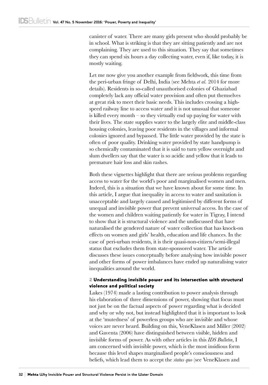canister of water. There are many girls present who should probably be in school. What is striking is that they are sitting patiently and are not complaining. They are used to this situation. They say that sometimes they can spend six hours a day collecting water, even if, like today, it is mostly waiting.

Let me now give you another example from fieldwork, this time from the peri-urban fringe of Delhi, India (see Mehta *et al.* 2014 for more details). Residents in so-called unauthorised colonies of Ghaziabad completely lack any official water provision and often put themselves at great risk to meet their basic needs. This includes crossing a highspeed railway line to access water and it is not unusual that someone is killed every month – so they virtually end up paying for water with their lives. The state supplies water to the largely elite and middle-class housing colonies, leaving poor residents in the villages and informal colonies ignored and bypassed. The little water provided by the state is often of poor quality. Drinking water provided by state handpump is so chemically contaminated that it is said to turn yellow overnight and slum dwellers say that the water is so acidic and yellow that it leads to premature hair loss and skin rashes.

Both these vignettes highlight that there are serious problems regarding access to water for the world's poor and marginalised women and men. Indeed, this is a situation that we have known about for some time. In this article, I argue that inequality in access to water and sanitation is unacceptable and largely caused and legitimised by different forms of unequal and invisible power that prevent universal access. In the case of the women and children waiting patiently for water in Tigray, I intend to show that it is structural violence and the undiscussed that have naturalised the gendered nature of water collection that has knock-on effects on women and girls' health, education and life chances. In the case of peri-urban residents, it is their quasi-non-citizen/semi-illegal status that excludes them from state-sponsored water. The article discusses these issues conceptually before analysing how invisible power and other forms of power imbalances have ended up naturalising water inequalities around the world.

#### 2 Understanding invisible power and its intersection with structural violence and political society

Lukes (1974) made a lasting contribution to power analysis through his elaboration of three dimensions of power, showing that focus must not just be on the factual aspects of power regarding what is decided and why or why not, but instead highlighted that it is important to look at the 'mutedness' of powerless groups who are invisible and whose voices are never heard. Building on this, VeneKlasen and Miller (2002) and Gaventa (2006) have distinguished between visible, hidden and invisible forms of power. As with other articles in this *IDS Bulletin*, I am concerned with invisible power, which is the most insidious form because this level shapes marginalised people's consciousness and beliefs, which lead them to accept the *status quo* (see VeneKlasen and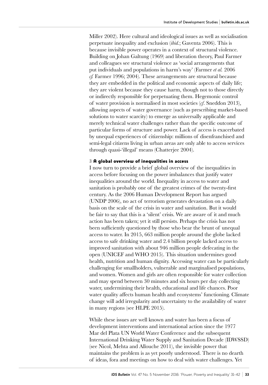Miller 2002). Here cultural and ideological issues as well as socialisation perpetuate inequality and exclusion (*ibid.*; Gaventa 2006). This is because invisible power operates in a context of structural violence. Building on Johan Galtung (1969) and liberation theory, Paul Farmer and colleagues see structural violence as 'social arrangements that put individuals and populations in harm's way' (Farmer *et al.* 2006 *cf.* Farmer 1996; 2004). These arrangements are structural because they are embedded in the political and economic aspects of daily life; they are violent because they cause harm, though not to those directly or indirectly responsible for perpetuating them. Hegemonic control of water provision is normalised in most societies (*cf*. Sneddon 2013), allowing aspects of water governance (such as prescribing market-based solutions to water scarcity) to emerge as universally applicable and merely technical water challenges rather than the specific outcome of particular forms of structure and power. Lack of access is exacerbated by unequal experiences of citizenship: millions of disenfranchised and semi-legal citizens living in urban areas are only able to access services through quasi-'illegal' means (Chatterjee 2004).

#### 3 A global overview of inequalities in access

I now turn to provide a brief global overview of the inequalities in access before focusing on the power imbalances that justify water inequalities around the world. Inequality in access to water and sanitation is probably one of the greatest crimes of the twenty-first century. As the 2006 Human Development Report has argued (UNDP 2006), no act of terrorism generates devastation on a daily basis on the scale of the crisis in water and sanitation. But it would be fair to say that this is a 'silent' crisis. We are aware of it and much action has been taken; yet it still persists. Perhaps the crisis has not been sufficiently questioned by those who bear the brunt of unequal access to water. In 2015, 663 million people around the globe lacked access to safe drinking water and 2.4 billion people lacked access to improved sanitation with about 946 million people defecating in the open (UNICEF and WHO 2015). This situation undermines good health, nutrition and human dignity. Accessing water can be particularly challenging for smallholders, vulnerable and marginalised populations, and women. Women and girls are often responsible for water collection and may spend between 30 minutes and six hours per day collecting water, undermining their health, educational and life chances. Poor water quality affects human health and ecosystems' functioning. Climate change will add irregularity and uncertainty to the availability of water in many regions (see HLPE 2015).

While these issues are well known and water has been a focus of development interventions and international action since the 1977 Mar del Plata UN World Water Conference and the subsequent International Drinking Water Supply and Sanitation Decade (IDWSSD) (see Nicol, Mehta and Allouche 2011), the invisible power that maintains the problem is as yet poorly understood. There is no dearth of ideas, fora and meetings on how to deal with water challenges. Yet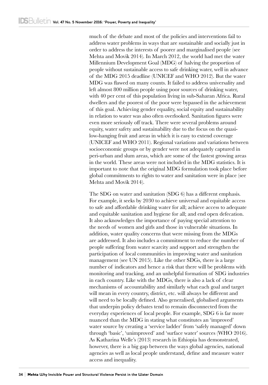much of the debate and most of the policies and interventions fail to address water problems in ways that are sustainable and socially just in order to address the interests of poorer and marginalised people (see Mehta and Movik 2014). In March 2012, the world had met the water Millennium Development Goal (MDG) of halving the proportion of people without sustainable access to safe drinking water, well in advance of the MDG 2015 deadline (UNICEF and WHO 2012). But the water MDG was flawed on many counts. It failed to address universality and left almost 800 million people using poor sources of drinking water, with 40 per cent of this population living in sub-Saharan Africa. Rural dwellers and the poorest of the poor were bypassed in the achievement of this goal. Achieving gender equality, social equity and sustainability in relation to water was also often overlooked. Sanitation figures were even more seriously off track. There were several problems around equity, water safety and sustainability due to the focus on the quasilow-hanging fruit and areas in which it is easy to extend coverage (UNICEF and WHO 2011). Regional variations and variations between socioeconomic groups or by gender were not adequately captured in peri-urban and slum areas, which are some of the fastest growing areas in the world. These areas were not included in the MDG statistics. It is important to note that the original MDG formulation took place before global commitments to rights to water and sanitation were in place (see Mehta and Movik 2014).

The SDG on water and sanitation (SDG 6) has a different emphasis. For example, it seeks by 2030 to achieve universal and equitable access to safe and affordable drinking water for all; achieve access to adequate and equitable sanitation and hygiene for all; and end open defecation. It also acknowledges the importance of paying special attention to the needs of women and girls and those in vulnerable situations. In addition, water quality concerns that were missing from the MDGs are addressed. It also includes a commitment to reduce the number of people suffering from water scarcity and support and strengthen the participation of local communities in improving water and sanitation management (see UN 2015). Like the other SDGs, there is a large number of indicators and hence a risk that there will be problems with monitoring and tracking, and an unhelpful formation of SDG industries in each country. Like with the MDGs, there is also a lack of clear mechanisms of accountability and similarly what each goal and target will mean in every country, district, etc. will always be different and will need to be locally defined. Also generalised, globalised arguments that underpin policy debates tend to remain disconnected from the everyday experiences of local people. For example, SDG 6 is far more nuanced than the MDG in stating what constitutes an 'improved' water source by creating a 'service ladder' from 'safely managed' down through 'basic', 'unimproved' and 'surface water' sources (WHO 2016). As Katharina Welle's (2013) research in Ethiopia has demonstrated, however, there is a big gap between the ways global agencies, national agencies as well as local people understand, define and measure water access and inequality.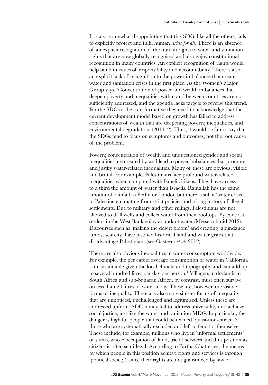It is also somewhat disappointing that this SDG, like all the others, fails to explicitly protect and fulfil human *rights for all*. There is an absence of an explicit recognition of the human rights to water and sanitation, rights that are now globally recognised and also enjoy constitutional recognition in many countries. An explicit recognition of rights would help build in issues of responsibility and accountability. There is also an explicit lack of recognition to the power imbalances that create water and sanitation crises in the first place. As the Women's Major Group says, 'Concentration of power and wealth imbalances that deepen poverty and inequalities within and between countries are not sufficiently addressed, and the agenda lacks targets to reverse this trend. For the SDGs to be transformative they need to acknowledge that the current development model based on growth has failed to address concentrations of wealth that are deepening poverty, inequalities, and environmental degradation' (2014: 2). Thus, it would be fair to say that the SDGs tend to focus on symptoms and outcomes, not the root cause of the problem.

Poverty, concentration of wealth and unquestioned gender and social inequalities are created by, and lead to power imbalances that promote and justify water-related inequalities. Many of these are obvious, visible and brutal. For example, Palestinians face profound water-related inequalities when compared with Israeli citizens. They have access to a third the amount of water than Israelis. Ramallah has the same amount of rainfall as Berlin or London but there is still a 'water crisis' in Palestine emanating from strict policies and a long history of illegal settlements. Due to military and other rulings, Palestinians are not allowed to drill wells and collect water from their rooftops. By contrast, settlers in the West Bank enjoy abundant water (Messerschmid 2012). Discourses such as 'making the desert bloom' and creating 'abundance amidst scarcity' have justified historical land and water grabs that disadvantage Palestinians (see Gasteyer *et al.* 2012).

There are also obvious inequalities in water consumption worldwide. For example, the per capita average consumption of water in California is unsustainable given the local climate and topography and can add up to several hundred litres per day per person.<sup>1</sup> Villagers in drylands in South Africa and sub-Saharan Africa, by contrast, must often survive on less than 20 litres of water a day. These are, however, the visible forms of inequality. There are also more sinister forms of inequality that are unnoticed, unchallenged and legitimised. Unless these are addressed upfront, SDG 6 may fail to address universality and achieve social justice, just like the water and sanitation MDG. In particular, the danger is high for people that could be termed 'quasi-non-citizens': those who are systematically excluded and left to fend for themselves. These include, for example, millions who live in 'informal settlements' or slums, whose occupation of land, use of services and thus position as citizens is often semi-legal. According to Partha Chatterjee, the means by which people in this position achieve rights and services is through 'political society', since their rights are not guaranteed by law or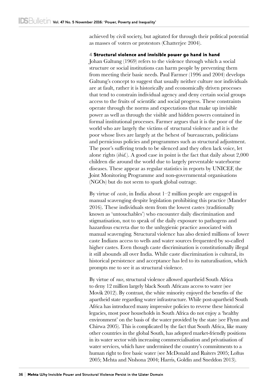achieved by civil society, but agitated for through their political potential as masses of voters or protestors (Chatterjee 2004).

#### 4 Structural violence and invisible power go hand in hand

Johan Galtung (1969) refers to the violence through which a social structure or social institutions can harm people by preventing them from meeting their basic needs. Paul Farmer (1996 and 2004) develops Galtung's concept to suggest that usually neither culture nor individuals are at fault, rather it is historically and economically driven processes that tend to constrain individual agency and deny certain social groups access to the fruits of scientific and social progress. These constraints operate through the norms and expectations that make up invisible power as well as through the visible and hidden powers contained in formal institutional processes. Farmer argues that it is the poor of the world who are largely the victims of structural violence and it is the poor whose lives are largely at the behest of bureaucrats, politicians and pernicious policies and programmes such as structural adjustment. The poor's suffering tends to be silenced and they often lack voice, let alone rights (*ibid.*). A good case in point is the fact that daily about 2,000 children die around the world due to largely preventable waterborne diseases. These appear as regular statistics in reports by UNICEF, the Joint Monitoring Programme and non-governmental organisations (NGOs) but do not seem to spark global outrage.

By virtue of *caste*, in India about 1–2 million people are engaged in manual scavenging despite legislation prohibiting this practice (Mander 2016). These individuals stem from the lowest castes (traditionally known as 'untouchables') who encounter daily discrimination and stigmatisation, not to speak of the daily exposure to pathogens and hazardous excreta due to the unhygienic practice associated with manual scavenging. Structural violence has also denied millions of lower caste Indians access to wells and water sources frequented by so-called higher castes. Even though caste discrimination is constitutionally illegal it still abounds all over India. While caste discrimination is cultural, its historical persistence and acceptance has led to its naturalisation, which prompts me to see it as structural violence.

By virtue of *race*, structural violence allowed apartheid South Africa to deny 12 million largely black South Africans access to water (see Movik 2012). By contrast, the white minority enjoyed the benefits of the apartheid state regarding water infrastructure. While post-apartheid South Africa has introduced many impressive policies to reverse these historical legacies, most poor households in South Africa do not enjoy a 'healthy environment' on the basis of the water provided by the state (see Flynn and Chirwa 2005). This is complicated by the fact that South Africa, like many other countries in the global South, has adopted market-friendly positions in its water sector with increasing commercialisation and privatisation of water services, which have undermined the country's commitments to a human right to free basic water (see McDonald and Ruiters 2005; Loftus 2005; Mehta and Ntshona 2004; Harris, Goldin and Sneddon 2013).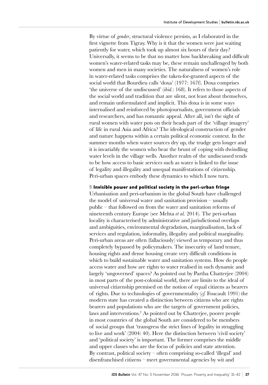By virtue of *gender*, structural violence persists, as I elaborated in the first vignette from Tigray. Why is it that the women were just waiting patiently for water, which took up almost six hours of their day? Universally, it seems to be that no matter how backbreaking and difficult women's water-related tasks may be, these remain unchallenged by both women and men in many societies. The naturalness of women's role in water-related tasks comprises the taken-for-granted aspects of the social world that Bourdieu calls 'doxa' (1977: 167f). Doxa comprises 'the universe of the undiscussed' (*ibid.*: 168). It refers to those aspects of the social world and tradition that are silent, not least about themselves, and remain unformulated and implicit. This doxa is in some ways internalised and reinforced by photojournalists, government officials and researchers, and has romantic appeal. After all, isn't the sight of rural women with water pots on their heads part of the 'village imagery' of life in rural Asia and Africa? The ideological construction of gender and nature happens within a certain political economic context. In the summer months when water sources dry up, the trudge gets longer and it is invariably the women who bear the brunt of coping with dwindling water levels in the village wells. Another realm of the undiscussed tends to be how access to basic services such as water is linked to the issue of legality and illegality and unequal manifestations of citizenship. Peri-urban spaces embody these dynamics to which I now turn.

#### 5 Invisible power and political society in the peri-urban fringe

Urbanisation and peri-urbanism in the global South have challenged the model of universal water and sanitation provision – usually public – that followed on from the water and sanitation reforms of nineteenth century Europe (see Mehta *et al.* 2014). The peri-urban locality is characterised by administrative and jurisdictional overlaps and ambiguities, environmental degradation, marginalisation, lack of services and regulation, informality, illegality and political marginality. Peri-urban areas are often (fallaciously) viewed as temporary and thus completely bypassed by policymakers. The insecurity of land tenure, housing rights and dense housing create very difficult conditions in which to build sustainable water and sanitation systems. How do people access water and how are rights to water realised in such dynamic and largely 'ungoverned' spaces? As pointed out by Partha Chatterjee (2004) in most parts of the post-colonial world, there are limits to the ideal of universal citizenship premised on the notion of equal citizens as bearers of rights. Due to technologies of governmentality (*cf.* Foucault 1991) the modern state has created a distinction between citizens who are rights bearers and populations who are the targets of government policies, laws and interventions.2 As pointed out by Chatterjee, poorer people in most countries of the global South are considered to be members of social groups that 'transgress the strict lines of legality in struggling to live and work' (2004: 40). Here the distinction between 'civil society' and 'political society' is important. The former comprises the middle and upper classes who are the focus of policies and state attention. By contrast, political society – often comprising so-called 'illegal' and disenfranchised citizens – meet governmental agencies by wit and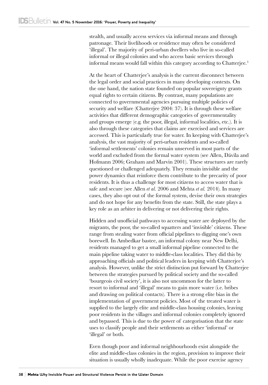stealth, and usually access services via informal means and through patronage. Their livelihoods or residence may often be considered 'illegal'. The majority of peri-urban dwellers who live in so-called informal or illegal colonies and who access basic services through informal means would fall within this category according to Chatterjee.<sup>3</sup>

At the heart of Chatterjee's analysis is the current disconnect between the legal order and social practices in many developing contexts. On the one hand, the nation state founded on popular sovereignty grants equal rights to certain citizens. By contrast, many populations are connected to governmental agencies pursuing multiple policies of security and welfare (Chatterjee 2004: 37). It is through these welfare activities that different demographic categories of governmentality and groups emerge (e.g. the poor, illegal, informal localities, etc.). It is also through these categories that claims are exercised and services are accessed. This is particularly true for water. In keeping with Chatterjee's analysis, the vast majority of peri-urban residents and so-called 'informal settlements' colonies remain unserved in most parts of the world and excluded from the formal water system (see Allen, Dávila and Hofmann 2006; Graham and Marvin 2001). These structures are rarely questioned or challenged adequately. They remain invisible and the power dynamics that reinforce them contribute to the precarity of poor residents. It is thus a challenge for most citizens to access water that is safe and secure (see Allen *et al.* 2006 and Mehta *et al.* 2014). In many cases, they also opt out of the formal system, devise their own strategies and do not hope for any benefits from the state. Still, the state plays a key role as an arbiter in delivering or not delivering their rights.

Hidden and unofficial pathways to accessing water are deployed by the migrants, the poor, the so-called squatters and 'invisible' citizens. These range from stealing water from official pipelines to digging one's own borewell. In Ambedkar bastee, an informal colony near New Delhi, residents managed to get a small informal pipeline connected to the main pipeline taking water to middle-class localities. They did this by approaching officials and political leaders in keeping with Chatterjee's analysis. However, unlike the strict distinction put forward by Chatterjee between the strategies pursued by political society and the so-called 'bourgeois civil society', it is also not uncommon for the latter to resort to informal and 'illegal' means to gain more water (i.e. bribes and drawing on political contacts). There is a strong elite bias in the implementation of government policies. Most of the treated water is supplied to the largely elite and middle-class housing colonies, leaving poor residents in the villages and informal colonies completely ignored and bypassed. This is due to the power of categorisation that the state uses to classify people and their settlements as either 'informal' or 'illegal' or both.

Even though poor and informal neighbourhoods exist alongside the elite and middle-class colonies in the region, provision to improve their situation is usually wholly inadequate. While the poor exercise agency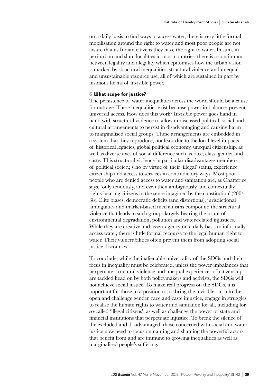on a daily basis to find ways to access water, there is very little formal mobilisation around the right to water and most poor people are not aware that as Indian citizens they have the right to water. In sum, in peri-urban and slum localities in most countries, there is a continuum between legality and illegality which epitomises how the urban vision is marked by structural inequalities, structural violence and unequal and unsustainable resource use, all of which are sustained in part by insidious forms of invisible power.

#### 6 What scope for justice?

The persistence of water inequalities across the world should be a cause for outrage. These inequalities exist because power imbalances prevent universal access. How does this work? Invisible power goes hand in hand with structural violence to allow undiscussed political, social and cultural arrangements to persist in disadvantaging and causing harm to marginalised social groups. These arrangements are embedded in a system that they reproduce, not least due to the local level impacts of historical legacies, global political economy, unequal citizenship, as well as diverse axes of social difference such as race, class, gender and caste. This structural violence in particular disadvantages members of political society, who by virtue of their 'illegal' status, experience citizenship and access to services in contradictory ways. Most poor people who are denied access to water and sanitation are, as Chatterjee says, 'only tenuously, and even then ambiguously and contextually, rights-bearing citizens in the sense imagined by the constitution' (2004: 38). Elite biases, democratic deficits (and distortions), jurisdictional ambiguities and market-based mechanisms compound the structural violence that leads to such groups largely bearing the brunt of environmental degradation, pollution and water-related injustices. While they are creative and assert agency on a daily basis to informally access water, there is little formal recourse to the legal human right to water. Their vulnerabilities often prevent them from adopting social justice discourses.

To conclude, while the inalienable universality of the SDGs and their focus in inequality must be celebrated, unless the power imbalances that perpetuate structural violence and unequal experiences of citizenship are tackled head on by both policymakers and activists, the SDGs will not achieve social justice. To make real progress on the SDGs, it is important for those in a position to, to bring the invisible out into the open and challenge gender, race and caste injustice, engage in struggles to realise the human rights to water and sanitation for all, including for so-called 'illegal citizens', as well as challenge the power of state and financial institutions that perpetuate injustice. To break the silence of the excluded and disadvantaged, those concerned with social and water justice now need to focus on naming and shaming the powerful actors that benefit from and are immune to growing inequalities as well as marginalised people's suffering.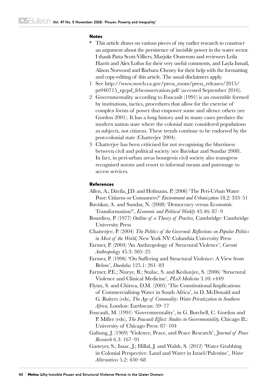#### **Notes**

- \* This article draws on various pieces of my earlier research to construct an argument about the persistence of invisible power in the water sector. I thank Patta Scott-Villiers, Marjoke Oosterom and reviewers Leila Harris and Alex Loftus for their very useful comments, and Layla Ismail, Alison Norwood and Barbara Cheney for their help with the formatting and copy-editing of this article. The usual disclaimers apply.
- 1 See [http://www.swrcb.ca.gov/press\\_room/press\\_releases/2015/](http://www.swrcb.ca.gov/press_room/press_releases/2015/pr040715_rgcpd_febconservation.pdf) [pr040715\\_rgcpd\\_febconservation.pdf](http://www.swrcb.ca.gov/press_room/press_releases/2015/pr040715_rgcpd_febconservation.pdf) (accessed September 2016).
- 2 Governmentality according to Foucault (1991) is an ensemble formed by institutions, tactics, procedures that allow for the exercise of complex forms of power that empower some and silence others (see Gordon 2001). It has a long history and in many cases predates the modern nation state where the colonial state considered populations as subjects, not citizens. These trends continue to be endorsed by the post-colonial state (Chatterjee 2004).
- 3 Chatterjee has been criticised for not recognising the blurriness between civil and political society (see Baviskar and Sundar 2008). In fact, in peri-urban areas bourgeois civil society also transgress recognised norms and resort to informal means and patronage to access services.

#### References

- Allen, A.; Dávila, J.D. and Hofmann, P. (2006) 'The Peri-Urban Water Poor: Citizens or Consumers?' *Environment and Urbanization* 18.2: 333–51
- Baviskar, A. and Sundar, N. (2008) 'Democracy versus Economic Transformation?', *Economic and Political Weekly* 43.46: 87–9
- Bourdieu, P. (1977) *Outline of a Theory of Practice,* Cambridge: Cambridge University Press
- Chatterjee, P. (2004) *The Politics of the Governed: Reflections on Popular Politics in Most of the World,* New York NY: Columbia University Press
- Farmer, P. (2004) 'An Anthropology of Structural Violence', *Current Anthropology* 45.3: 305–25
- Farmer, P. (1996) 'On Suffering and Structural Violence: A View from Below', *Daedalus* 125.1: 261–83
- Farmer, P.E.; Nizeye, B.; Stulac, S. and Keshavjee, S. (2006) 'Structural Violence and Clinical Medicine', *PLoS Medicine* 3.10: e449
- Flynn, S. and Chirwa, D.M. (2005) 'The Constitutional Implications of Commercialising Water in South Africa', in D. McDonald and G. Ruiters (eds), *The Age of Commodity: Water Privatization in Southern Africa,* London: Earthscan: 59–77
- Foucault, M. (1991) 'Governmentality', in G. Burchell, C. Gordon and P. Miller (eds), *The Foucault Effect: Studies in Governmentality,* Chicago IL: University of Chicago Press: 87–104
- Galtung, J. (1969) 'Violence, Peace, and Peace Research', *Journal of Peace Research* 6.3: 167–91
- Gasteyer, S.; Isaac, J.; Hillal, J. and Walsh, S. (2012) 'Water Grabbing in Colonial Perspective: Land and Water in Israel/Palestine', *Water Alternatives* 5.2: 450–68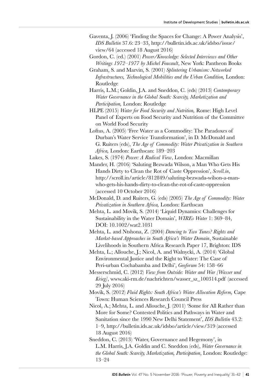- Gaventa, J. (2006) 'Finding the Spaces for Change: A Power Analysis', *IDS Bulletin* 37.6: 23–33, [http://bulletin.ids.ac.uk/idsbo/issue/](http://bulletin.ids.ac.uk/idsbo/issue/view/64) [view/64](http://bulletin.ids.ac.uk/idsbo/issue/view/64) (accessed 18 August 2016)
- Gordon, C. (ed.) (2001) *Power/Knowledge: Selected Interviews and Other Writings 1972–1977 by Michel Foucault*, New York: Pantheon Books
- Graham, S. and Marvin, S. (2001) *Splintering Urbanism: Networked Infrastructures, Technological Mobilities and the Urban Condition,* London: Routledge
- Harris, L.M.; Goldin, J.A. and Sneddon, C. (eds) (2013) *[Contemporary](http://www.routledge.com/books/details/9780415657990/)  [Water Governance in the Global South: Scarcity, Marketization and](http://www.routledge.com/books/details/9780415657990/)  [Participation,](http://www.routledge.com/books/details/9780415657990/)* London: Routledge
- HLPE (2015) *Water for Food Security and Nutrition,* Rome: High Level Panel of Experts on Food Security and Nutrition of the Committee on World Food Security
- Loftus, A. (2005) 'Free Water as a Commodity: The Paradoxes of Durban's Water Service Transformation', in D. McDonald and G. Ruiters (eds), *The Age of Commodity: Water Privatization in Southern Africa,* London: Earthscan: 189–203

Lukes, S. (1974) *Power: A Radical View*, London: Macmillan

- Mander, H. (2016) 'Saluting Bezwada Wilson, a Man Who Gets His Hands Dirty to Clean the Rot of Caste Oppression', *Scroll.in*, http://scroll.in/article/812849/saluting-bezwada-wilson-a-manwho-gets-his-hands-dirty-to-clean-the-rot-of-caste-oppression (accessed 10 October 2016)
- McDonald, D. and Ruiters, G. (eds) (2005) *The Age of Commodity: Water Privatization in Southern Africa,* London: Earthscan
- Mehta, L. and Movik, S. (2014) 'Liquid Dynamics: Challenges for Sustainability in the Water Domain', *WIREs Water* 1: 369–84, DOI: 10.1002/wat2.1031
- Mehta, L. and Ntshona, Z. (2004) *Dancing to Two Tunes? Rights and Market-based Approaches in South Africa's Water Domain*, Sustainable Livelihoods in Southern Africa Research Paper 17, Brighton: IDS
- Mehta, L.; Allouche, J.; Nicol, A. and Walnycki, A. (2014) 'Global Environmental Justice and the Right to Water: The Case of Peri‑urban Cochabamba and Delhi', *Geoforum* 54: 158–66
- Messerschmid, C. (2012) *View from Outside: Water and War [Wasser und Krieg]*, [www.aki-rm.de/nachrichten/wasser\\_sz\\_100314.pdf](http://www.aki-rm.de/nachrichten/wasser_sz_100314.pdf) (accessed 29 July 2016)
- Movik, S. (2012) *Fluid Rights: South Africa's Water Allocation Reform,* Cape Town: Human Sciences Research Council Press
- Nicol, A.; Mehta, L. and Allouche, J. (2011) 'Some for All Rather than More for Some? Contested Politics and Pathways in Water and Sanitation since the 1990 New Delhi Statement', *IDS Bulletin* 43.2: 1–9, <http://bulletin.ids.ac.uk/idsbo/article/view/319>(accessed 18 August 2016)
- Sneddon, C. (2013) 'Water, Governance and Hegemony', in L.M. Harris, J.A. Goldin and C. Sneddon (eds), *Water Governance in the Global South: Scarcity, Marketization, Participation*, London: Routledge: 13–24